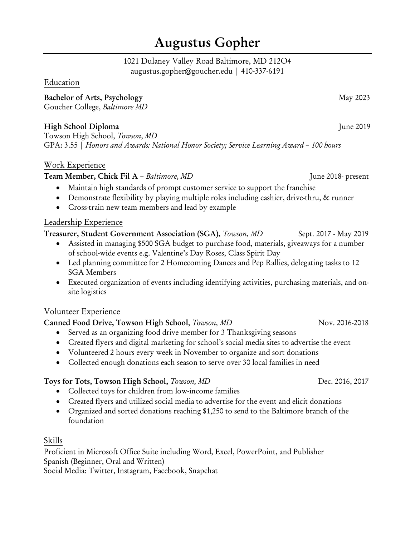# Augustus Gopher

1021 Dulaney Valley Road Baltimore, MD 212O4 augustus.gopher@goucher.edu | 410-337-6191

Education

Bachelor of Arts, Psychology May 2023 Goucher College, *Baltimore MD*

### High School Diploma June 2019

Towson High School, *Towson, MD* GPA: 3.55 | *Honors and Awards: National Honor Society; Service Learning Award – 100 hours*

### Work Experience

### Team Member, Chick Fil A – *Baltimore*, *MD* June 2018- present

- Maintain high standards of prompt customer service to support the franchise
- Demonstrate flexibility by playing multiple roles including cashier, drive-thru, & runner
- Cross-train new team members and lead by example

### Leadership Experience

### Treasurer, Student Government Association (SGA), *Towson, MD* Sept. 2017 - May 2019

- Assisted in managing \$500 SGA budget to purchase food, materials, giveaways for a number of school-wide events e.g. Valentine's Day Roses, Class Spirit Day
- Led planning committee for 2 Homecoming Dances and Pep Rallies, delegating tasks to 12 SGA Members
- Executed organization of events including identifying activities, purchasing materials, and onsite logistics

### Volunteer Experience

### Canned Food Drive, Towson High School, *Towson, MD* Nov. 2016-2018

- Served as an organizing food drive member for 3 Thanksgiving seasons
- Created flyers and digital marketing for school's social media sites to advertise the event
- Volunteered 2 hours every week in November to organize and sort donations
- Collected enough donations each season to serve over 30 local families in need

### Toys for Tots, Towson High School, *Towson, MD* Dec. 2016, 2017

- Collected toys for children from low-income families
- Created flyers and utilized social media to advertise for the event and elicit donations
- Organized and sorted donations reaching \$1,250 to send to the Baltimore branch of the foundation

### Skills

Proficient in Microsoft Office Suite including Word, Excel, PowerPoint, and Publisher Spanish (Beginner, Oral and Written)

Social Media: Twitter, Instagram, Facebook, Snapchat